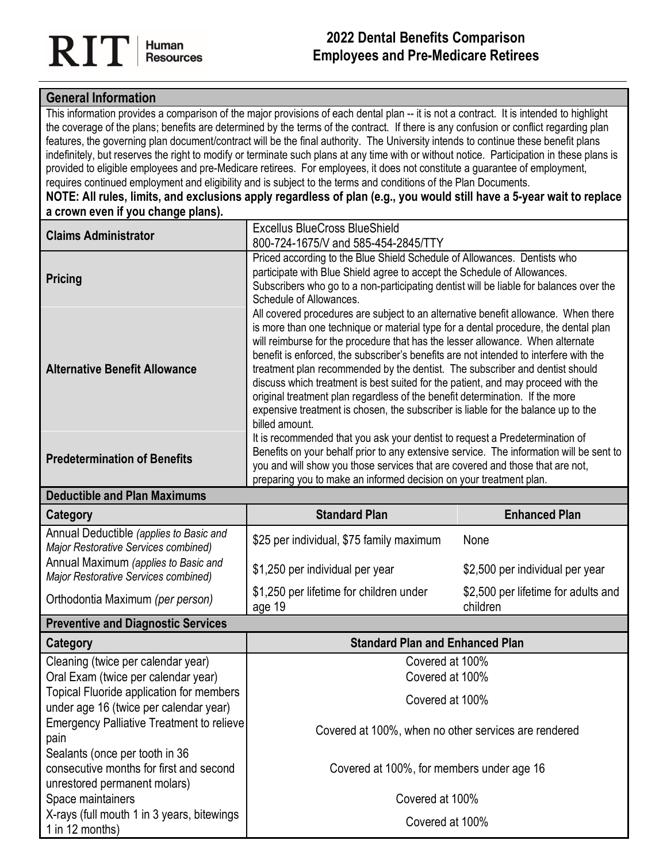## **General Information**

This information provides a comparison of the major provisions of each dental plan -- it is not a contract. It is intended to highlight the coverage of the plans; benefits are determined by the terms of the contract. If there is any confusion or conflict regarding plan features, the governing plan document/contract will be the final authority. The University intends to continue these benefit plans indefinitely, but reserves the right to modify or terminate such plans at any time with or without notice. Participation in these plans is provided to eligible employees and pre-Medicare retirees. For employees, it does not constitute a guarantee of employment, requires continued employment and eligibility and is subject to the terms and conditions of the Plan Documents.

**NOTE: All rules, limits, and exclusions apply regardless of plan (e.g., you would still have a 5-year wait to replace a crown even if you change plans).**

| <b>Claims Administrator</b>                                                                               | <b>Excellus BlueCross BlueShield</b><br>800-724-1675/V and 585-454-2845/TTY                                                                                                                                                                                                                                                                                                                                                                                                                                                                                                                                                                                                                                     |                                     |  |
|-----------------------------------------------------------------------------------------------------------|-----------------------------------------------------------------------------------------------------------------------------------------------------------------------------------------------------------------------------------------------------------------------------------------------------------------------------------------------------------------------------------------------------------------------------------------------------------------------------------------------------------------------------------------------------------------------------------------------------------------------------------------------------------------------------------------------------------------|-------------------------------------|--|
| <b>Pricing</b>                                                                                            | Priced according to the Blue Shield Schedule of Allowances. Dentists who<br>participate with Blue Shield agree to accept the Schedule of Allowances.<br>Subscribers who go to a non-participating dentist will be liable for balances over the<br>Schedule of Allowances.                                                                                                                                                                                                                                                                                                                                                                                                                                       |                                     |  |
| <b>Alternative Benefit Allowance</b>                                                                      | All covered procedures are subject to an alternative benefit allowance. When there<br>is more than one technique or material type for a dental procedure, the dental plan<br>will reimburse for the procedure that has the lesser allowance. When alternate<br>benefit is enforced, the subscriber's benefits are not intended to interfere with the<br>treatment plan recommended by the dentist. The subscriber and dentist should<br>discuss which treatment is best suited for the patient, and may proceed with the<br>original treatment plan regardless of the benefit determination. If the more<br>expensive treatment is chosen, the subscriber is liable for the balance up to the<br>billed amount. |                                     |  |
| <b>Predetermination of Benefits</b>                                                                       | It is recommended that you ask your dentist to request a Predetermination of<br>Benefits on your behalf prior to any extensive service. The information will be sent to<br>you and will show you those services that are covered and those that are not,<br>preparing you to make an informed decision on your treatment plan.                                                                                                                                                                                                                                                                                                                                                                                  |                                     |  |
| <b>Deductible and Plan Maximums</b>                                                                       |                                                                                                                                                                                                                                                                                                                                                                                                                                                                                                                                                                                                                                                                                                                 |                                     |  |
| <b>Category</b>                                                                                           | <b>Standard Plan</b>                                                                                                                                                                                                                                                                                                                                                                                                                                                                                                                                                                                                                                                                                            | <b>Enhanced Plan</b>                |  |
| Annual Deductible (applies to Basic and<br>Major Restorative Services combined)                           | \$25 per individual, \$75 family maximum                                                                                                                                                                                                                                                                                                                                                                                                                                                                                                                                                                                                                                                                        | None                                |  |
| Annual Maximum (applies to Basic and<br>Major Restorative Services combined)                              | \$1,250 per individual per year                                                                                                                                                                                                                                                                                                                                                                                                                                                                                                                                                                                                                                                                                 | \$2,500 per individual per year     |  |
|                                                                                                           |                                                                                                                                                                                                                                                                                                                                                                                                                                                                                                                                                                                                                                                                                                                 | \$2,500 per lifetime for adults and |  |
| Orthodontia Maximum (per person)                                                                          | \$1,250 per lifetime for children under<br>age 19                                                                                                                                                                                                                                                                                                                                                                                                                                                                                                                                                                                                                                                               | children                            |  |
| <b>Preventive and Diagnostic Services</b>                                                                 |                                                                                                                                                                                                                                                                                                                                                                                                                                                                                                                                                                                                                                                                                                                 |                                     |  |
| Category                                                                                                  | <b>Standard Plan and Enhanced Plan</b>                                                                                                                                                                                                                                                                                                                                                                                                                                                                                                                                                                                                                                                                          |                                     |  |
| Cleaning (twice per calendar year)                                                                        | Covered at 100%                                                                                                                                                                                                                                                                                                                                                                                                                                                                                                                                                                                                                                                                                                 |                                     |  |
| Oral Exam (twice per calendar year)                                                                       | Covered at 100%                                                                                                                                                                                                                                                                                                                                                                                                                                                                                                                                                                                                                                                                                                 |                                     |  |
| <b>Topical Fluoride application for members</b><br>under age 16 (twice per calendar year)                 | Covered at 100%                                                                                                                                                                                                                                                                                                                                                                                                                                                                                                                                                                                                                                                                                                 |                                     |  |
| <b>Emergency Palliative Treatment to relieve</b><br>pain                                                  | Covered at 100%, when no other services are rendered                                                                                                                                                                                                                                                                                                                                                                                                                                                                                                                                                                                                                                                            |                                     |  |
| Sealants (once per tooth in 36<br>consecutive months for first and second<br>unrestored permanent molars) | Covered at 100%, for members under age 16                                                                                                                                                                                                                                                                                                                                                                                                                                                                                                                                                                                                                                                                       |                                     |  |
| Space maintainers<br>X-rays (full mouth 1 in 3 years, bitewings                                           | Covered at 100%                                                                                                                                                                                                                                                                                                                                                                                                                                                                                                                                                                                                                                                                                                 |                                     |  |